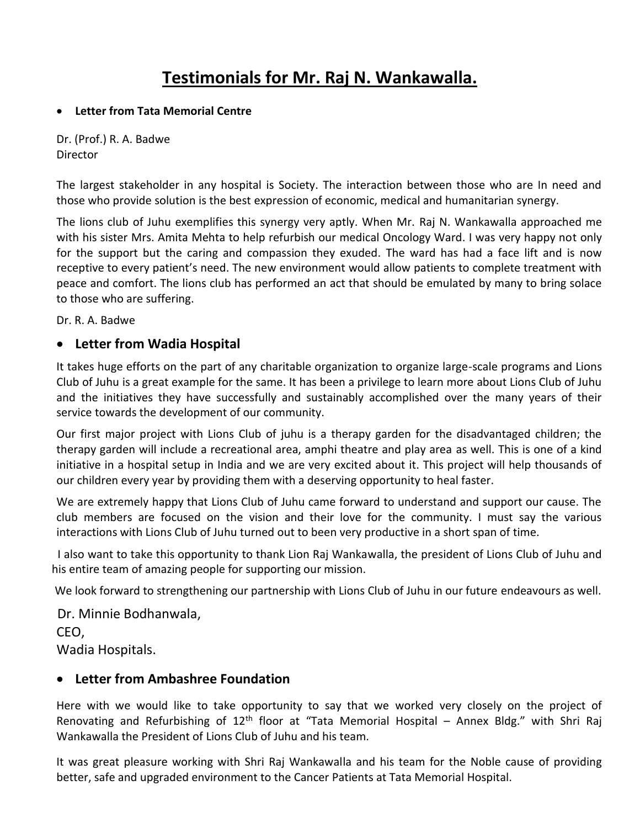## **Testimonials for Mr. Raj N. Wankawalla.**

## • **Letter from Tata Memorial Centre**

Dr. (Prof.) R. A. Badwe Director

The largest stakeholder in any hospital is Society. The interaction between those who are In need and those who provide solution is the best expression of economic, medical and humanitarian synergy.

The lions club of Juhu exemplifies this synergy very aptly. When Mr. Raj N. Wankawalla approached me with his sister Mrs. Amita Mehta to help refurbish our medical Oncology Ward. I was very happy not only for the support but the caring and compassion they exuded. The ward has had a face lift and is now receptive to every patient's need. The new environment would allow patients to complete treatment with peace and comfort. The lions club has performed an act that should be emulated by many to bring solace to those who are suffering.

Dr. R. A. Badwe

## • **Letter from Wadia Hospital**

It takes huge efforts on the part of any charitable organization to organize large-scale programs and Lions Club of Juhu is a great example for the same. It has been a privilege to learn more about Lions Club of Juhu and the initiatives they have successfully and sustainably accomplished over the many years of their service towards the development of our community.

Our first major project with Lions Club of juhu is a therapy garden for the disadvantaged children; the therapy garden will include a recreational area, amphi theatre and play area as well. This is one of a kind initiative in a hospital setup in India and we are very excited about it. This project will help thousands of our children every year by providing them with a deserving opportunity to heal faster.

We are extremely happy that Lions Club of Juhu came forward to understand and support our cause. The club members are focused on the vision and their love for the community. I must say the various interactions with Lions Club of Juhu turned out to been very productive in a short span of time.

 I also want to take this opportunity to thank Lion Raj Wankawalla, the president of Lions Club of Juhu and his entire team of amazing people for supporting our mission.

We look forward to strengthening our partnership with Lions Club of Juhu in our future endeavours as well.

 Dr. Minnie Bodhanwala, CEO,

Wadia Hospitals.

## • **Letter from Ambashree Foundation**

Here with we would like to take opportunity to say that we worked very closely on the project of Renovating and Refurbishing of  $12<sup>th</sup>$  floor at "Tata Memorial Hospital – Annex Bldg." with Shri Raj Wankawalla the President of Lions Club of Juhu and his team.

It was great pleasure working with Shri Raj Wankawalla and his team for the Noble cause of providing better, safe and upgraded environment to the Cancer Patients at Tata Memorial Hospital.